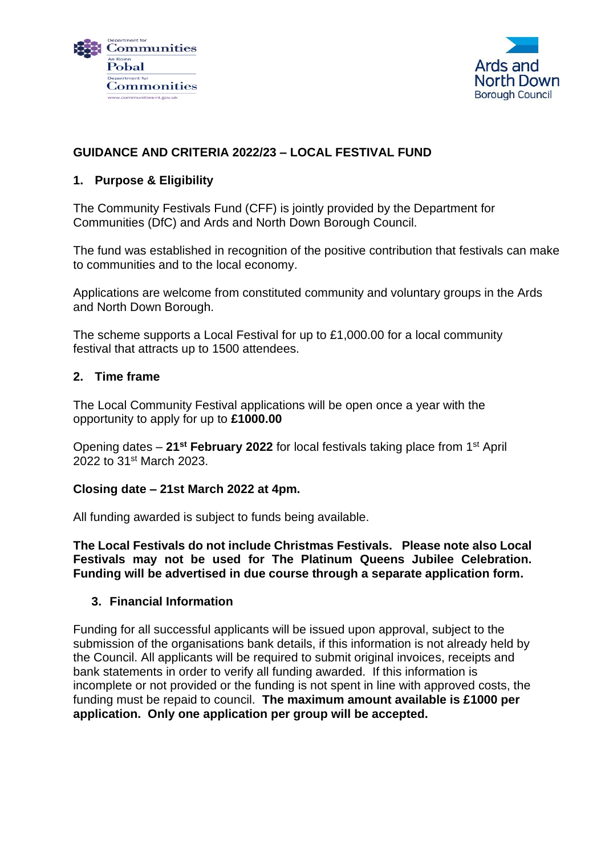



## **GUIDANCE AND CRITERIA 2022/23 – LOCAL FESTIVAL FUND**

#### **1. Purpose & Eligibility**

The Community Festivals Fund (CFF) is jointly provided by the Department for Communities (DfC) and Ards and North Down Borough Council.

The fund was established in recognition of the positive contribution that festivals can make to communities and to the local economy.

Applications are welcome from constituted community and voluntary groups in the Ards and North Down Borough.

The scheme supports a Local Festival for up to £1,000.00 for a local community festival that attracts up to 1500 attendees.

#### **2. Time frame**

The Local Community Festival applications will be open once a year with the opportunity to apply for up to **£1000.00**

Opening dates – **21st February 2022** for local festivals taking place from 1st April 2022 to 31<sup>st</sup> March 2023.

#### **Closing date – 21st March 2022 at 4pm.**

All funding awarded is subject to funds being available.

**The Local Festivals do not include Christmas Festivals. Please note also Local Festivals may not be used for The Platinum Queens Jubilee Celebration. Funding will be advertised in due course through a separate application form.**

#### **3. Financial Information**

Funding for all successful applicants will be issued upon approval, subject to the submission of the organisations bank details, if this information is not already held by the Council. All applicants will be required to submit original invoices, receipts and bank statements in order to verify all funding awarded. If this information is incomplete or not provided or the funding is not spent in line with approved costs, the funding must be repaid to council. **The maximum amount available is £1000 per application. Only one application per group will be accepted.**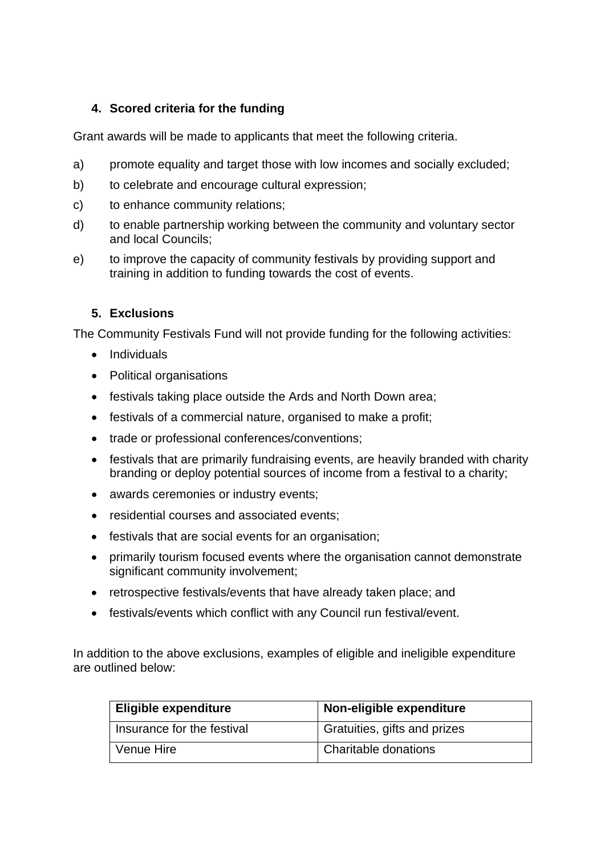## **4. Scored criteria for the funding**

Grant awards will be made to applicants that meet the following criteria.

- a) promote equality and target those with low incomes and socially excluded;
- b) to celebrate and encourage cultural expression;
- c) to enhance community relations;
- d) to enable partnership working between the community and voluntary sector and local Councils;
- e) to improve the capacity of community festivals by providing support and training in addition to funding towards the cost of events.

## **5. Exclusions**

The Community Festivals Fund will not provide funding for the following activities:

- Individuals
- Political organisations
- festivals taking place outside the Ards and North Down area;
- festivals of a commercial nature, organised to make a profit;
- trade or professional conferences/conventions;
- festivals that are primarily fundraising events, are heavily branded with charity branding or deploy potential sources of income from a festival to a charity;
- awards ceremonies or industry events;
- residential courses and associated events;
- festivals that are social events for an organisation;
- primarily tourism focused events where the organisation cannot demonstrate significant community involvement;
- retrospective festivals/events that have already taken place; and
- festivals/events which conflict with any Council run festival/event.

In addition to the above exclusions, examples of eligible and ineligible expenditure are outlined below:

| <b>Eligible expenditure</b> | Non-eligible expenditure     |
|-----------------------------|------------------------------|
| Insurance for the festival  | Gratuities, gifts and prizes |
| Venue Hire                  | Charitable donations         |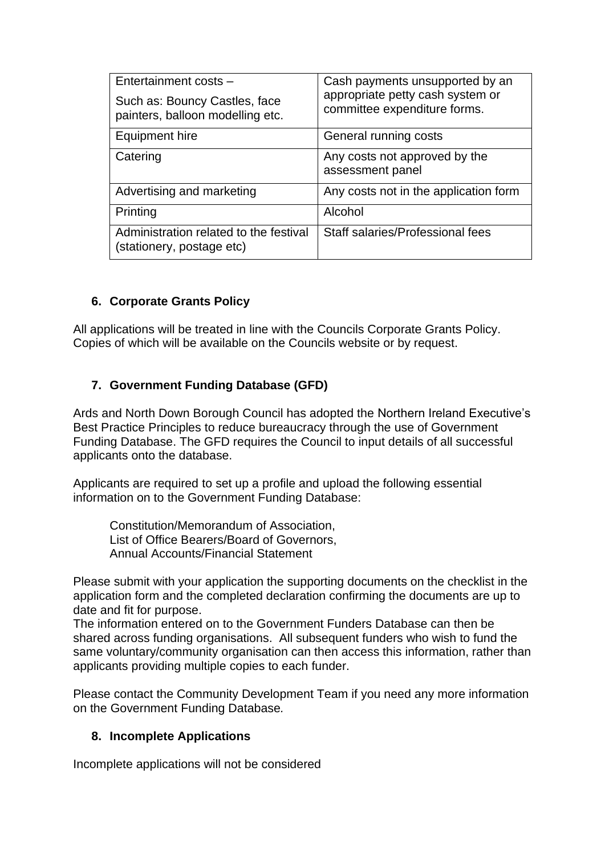| Entertainment costs -                                               | Cash payments unsupported by an<br>appropriate petty cash system or<br>committee expenditure forms. |
|---------------------------------------------------------------------|-----------------------------------------------------------------------------------------------------|
| Such as: Bouncy Castles, face<br>painters, balloon modelling etc.   |                                                                                                     |
| Equipment hire                                                      | General running costs                                                                               |
| Catering                                                            | Any costs not approved by the<br>assessment panel                                                   |
| Advertising and marketing                                           | Any costs not in the application form                                                               |
| Printing                                                            | Alcohol                                                                                             |
| Administration related to the festival<br>(stationery, postage etc) | Staff salaries/Professional fees                                                                    |

### **6. Corporate Grants Policy**

All applications will be treated in line with the Councils Corporate Grants Policy. Copies of which will be available on the Councils website or by request.

### **7. Government Funding Database (GFD)**

Ards and North Down Borough Council has adopted the Northern Ireland Executive's Best Practice Principles to reduce bureaucracy through the use of Government Funding Database. The GFD requires the Council to input details of all successful applicants onto the database.

Applicants are required to set up a profile and upload the following essential information on to the Government Funding Database:

Constitution/Memorandum of Association, List of Office Bearers/Board of Governors, Annual Accounts/Financial Statement

Please submit with your application the supporting documents on the checklist in the application form and the completed declaration confirming the documents are up to date and fit for purpose.

The information entered on to the Government Funders Database can then be shared across funding organisations. All subsequent funders who wish to fund the same voluntary/community organisation can then access this information, rather than applicants providing multiple copies to each funder.

Please contact the Community Development Team if you need any more information on the Government Funding Database*.*

#### **8. Incomplete Applications**

Incomplete applications will not be considered